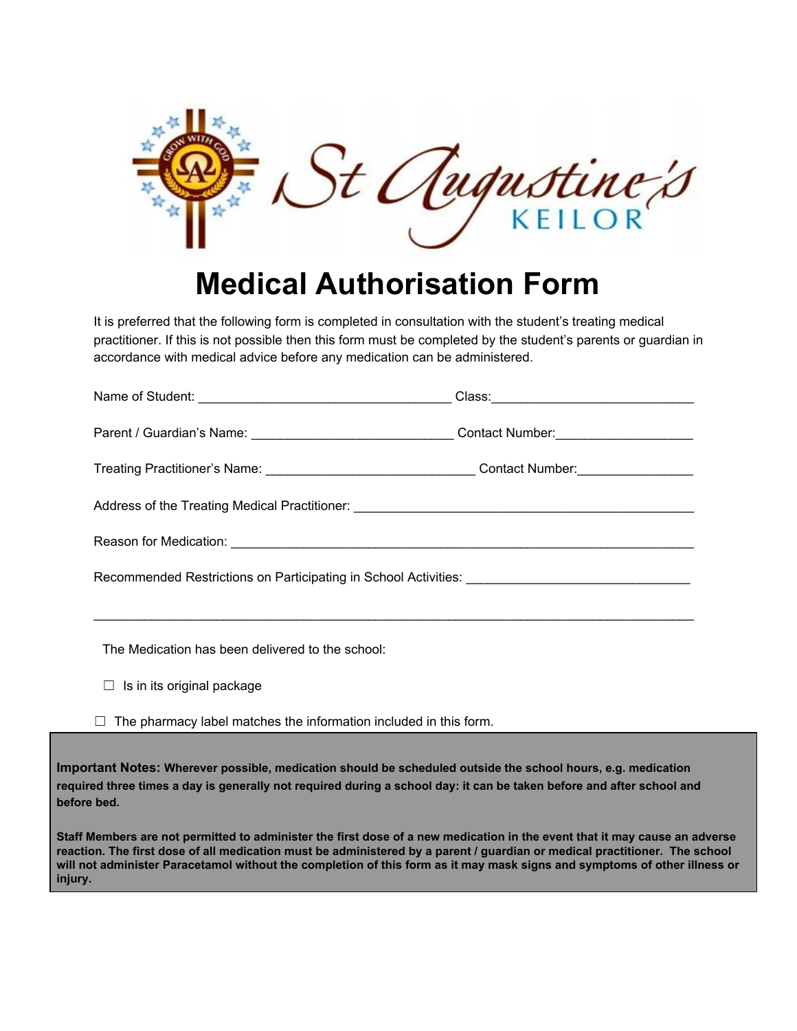

## **Medical Authorisation Form**

It is preferred that the following form is completed in consultation with the student's treating medical practitioner. If this is not possible then this form must be completed by the student's parents or guardian in accordance with medical advice before any medication can be administered.

| Treating Practitioner's Name: _________________________________Contact Number:_____________________ |  |  |  |  |
|-----------------------------------------------------------------------------------------------------|--|--|--|--|
|                                                                                                     |  |  |  |  |
|                                                                                                     |  |  |  |  |
|                                                                                                     |  |  |  |  |
|                                                                                                     |  |  |  |  |

The Medication has been delivered to the school:

- $\Box$  Is in its original package
- $\Box$  The pharmacy label matches the information included in this form.

**Important Notes: Wherever possible, medication should be scheduled outside the school hours, e.g. medication required three times a day is generally not required during a school day: it can be taken before and after school and before bed.**

**Staff Members are not permitted to administer the first dose of a new medication in the event that it may cause an adverse reaction. The first dose of all medication must be administered by a parent / guardian or medical practitioner. The school will not administer Paracetamol without the completion of this form as it may mask signs and symptoms of other illness or injury.**